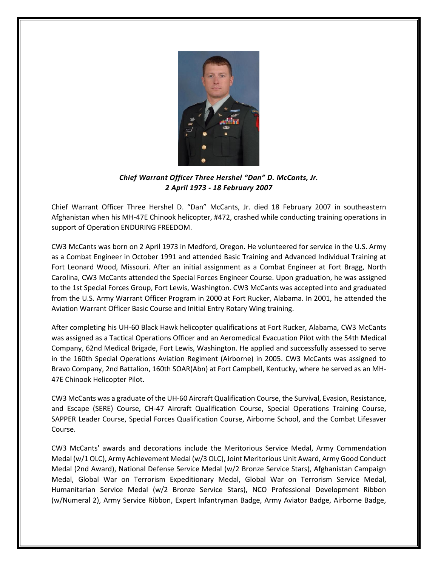

*Chief Warrant Officer Three Hershel "Dan" D. McCants, Jr. 2 April 1973 - 18 February 2007*

Chief Warrant Officer Three Hershel D. "Dan" McCants, Jr. died 18 February 2007 in southeastern Afghanistan when his MH-47E Chinook helicopter, #472, crashed while conducting training operations in support of Operation ENDURING FREEDOM.

CW3 McCants was born on 2 April 1973 in Medford, Oregon. He volunteered for service in the U.S. Army as a Combat Engineer in October 1991 and attended Basic Training and Advanced Individual Training at Fort Leonard Wood, Missouri. After an initial assignment as a Combat Engineer at Fort Bragg, North Carolina, CW3 McCants attended the Special Forces Engineer Course. Upon graduation, he was assigned to the 1st Special Forces Group, Fort Lewis, Washington. CW3 McCants was accepted into and graduated from the U.S. Army Warrant Officer Program in 2000 at Fort Rucker, Alabama. In 2001, he attended the Aviation Warrant Officer Basic Course and Initial Entry Rotary Wing training.

After completing his UH-60 Black Hawk helicopter qualifications at Fort Rucker, Alabama, CW3 McCants was assigned as a Tactical Operations Officer and an Aeromedical Evacuation Pilot with the 54th Medical Company, 62nd Medical Brigade, Fort Lewis, Washington. He applied and successfully assessed to serve in the 160th Special Operations Aviation Regiment (Airborne) in 2005. CW3 McCants was assigned to Bravo Company, 2nd Battalion, 160th SOAR(Abn) at Fort Campbell, Kentucky, where he served as an MH-47E Chinook Helicopter Pilot.

CW3 McCants was a graduate of the UH-60 Aircraft Qualification Course, the Survival, Evasion, Resistance, and Escape (SERE) Course, CH-47 Aircraft Qualification Course, Special Operations Training Course, SAPPER Leader Course, Special Forces Qualification Course, Airborne School, and the Combat Lifesaver Course.

CW3 McCants' awards and decorations include the Meritorious Service Medal, Army Commendation Medal (w/1 OLC), Army Achievement Medal (w/3 OLC), Joint Meritorious Unit Award, Army Good Conduct Medal (2nd Award), National Defense Service Medal (w/2 Bronze Service Stars), Afghanistan Campaign Medal, Global War on Terrorism Expeditionary Medal, Global War on Terrorism Service Medal, Humanitarian Service Medal (w/2 Bronze Service Stars), NCO Professional Development Ribbon (w/Numeral 2), Army Service Ribbon, Expert Infantryman Badge, Army Aviator Badge, Airborne Badge,